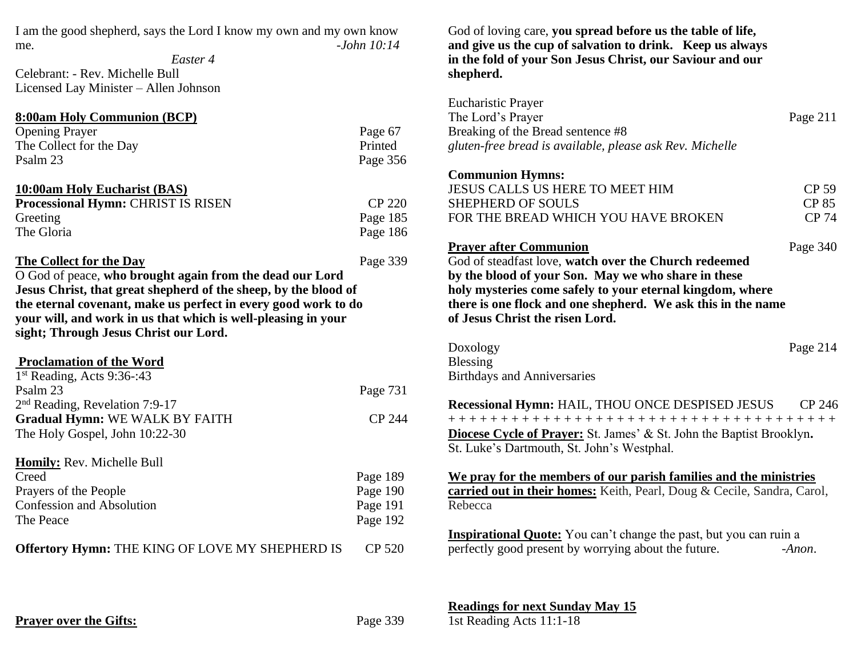I am the good shepherd, says the Lord I know my own and my own know me. *-John 10:14*

*Easter 4* Celebrant: - Rev. Michelle Bull Licensed Lay Minister – Allen Johnson

| 8:00am Holy Communion (BCP)        |          |
|------------------------------------|----------|
| <b>Opening Prayer</b>              | Page 67  |
| The Collect for the Day            | Printed  |
| Psalm 23                           | Page 356 |
| 10:00am Holy Eucharist (BAS)       |          |
| Processional Hymn: CHRIST IS RISEN | CP 220   |
|                                    |          |

| Greeting   | Page 185 |
|------------|----------|
| The Gloria | Page 186 |

## **The Collect for the Day** Page 339

O God of peace, **who brought again from the dead our Lord Jesus Christ, that great shepherd of the sheep, by the blood of the eternal covenant, make us perfect in every good work to do your will, and work in us that which is well-pleasing in your sight; Through Jesus Christ our Lord.**

## **Proclamation of the Word**

| $1st$ Reading, Acts 9:36-:43     |          |
|----------------------------------|----------|
| Psalm 23                         | Page 731 |
| $2nd$ Reading, Revelation 7:9-17 |          |
| Gradual Hymn: WE WALK BY FAITH   | CP 244   |
| The Holy Gospel, John 10:22-30   |          |
| Homily: Rev. Michelle Bull       |          |
| Creed                            | Page 189 |
| Prayers of the People            | Page 190 |

| Confession and Absolution | Page 191 |
|---------------------------|----------|
| The Peace                 | Page 192 |
| $\sim$ $\sim$             |          |

**Offertory Hymn:** THE KING OF LOVE MY SHEPHERD IS CP 520

God of loving care, **you spread before us the table of life, and give us the cup of salvation to drink. Keep us always in the fold of your Son Jesus Christ, our Saviour and our shepherd.**

| <b>Eucharistic Prayer</b>                                                                                                 |              |
|---------------------------------------------------------------------------------------------------------------------------|--------------|
| The Lord's Prayer                                                                                                         | Page 211     |
| Breaking of the Bread sentence #8                                                                                         |              |
| gluten-free bread is available, please ask Rev. Michelle                                                                  |              |
| <b>Communion Hymns:</b>                                                                                                   |              |
| JESUS CALLS US HERE TO MEET HIM                                                                                           | <b>CP 59</b> |
| <b>SHEPHERD OF SOULS</b>                                                                                                  | <b>CP 85</b> |
| FOR THE BREAD WHICH YOU HAVE BROKEN                                                                                       | <b>CP 74</b> |
| <b>Prayer after Communion</b>                                                                                             | Page 340     |
| God of steadfast love, watch over the Church redeemed                                                                     |              |
| by the blood of your Son. May we who share in these                                                                       |              |
| holy mysteries come safely to your eternal kingdom, where<br>there is one flock and one shepherd. We ask this in the name |              |
| of Jesus Christ the risen Lord.                                                                                           |              |
|                                                                                                                           |              |
| Doxology                                                                                                                  | Page 214     |
| Blessing                                                                                                                  |              |
| <b>Birthdays and Anniversaries</b>                                                                                        |              |
| <b>Recessional Hymn: HAIL, THOU ONCE DESPISED JESUS</b> CP 246                                                            |              |
|                                                                                                                           |              |
| <b>Diocese Cycle of Prayer:</b> St. James' & St. John the Baptist Brooklyn.                                               |              |
| St. Luke's Dartmouth, St. John's Westphal.                                                                                |              |
| We pray for the members of our parish families and the ministries                                                         |              |
| carried out in their homes: Keith, Pearl, Doug & Cecile, Sandra, Carol,                                                   |              |
| Rebecca                                                                                                                   |              |
| <b>Inspirational Quote:</b> You can't change the past, but you can ruin a                                                 |              |
| perfectly good present by worrying about the future.                                                                      | $-Anon.$     |

**Readings for next Sunday May 15**

**Prayer over the Gifts:** Page 339